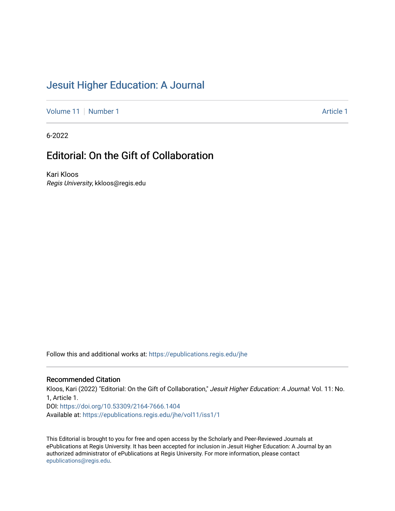## [Jesuit Higher Education: A Journal](https://epublications.regis.edu/jhe)

[Volume 11](https://epublications.regis.edu/jhe/vol11) [Number 1](https://epublications.regis.edu/jhe/vol11/iss1) Article 1

6-2022

## Editorial: On the Gift of Collaboration

Kari Kloos Regis University, kkloos@regis.edu

Follow this and additional works at: [https://epublications.regis.edu/jhe](https://epublications.regis.edu/jhe?utm_source=epublications.regis.edu%2Fjhe%2Fvol11%2Fiss1%2F1&utm_medium=PDF&utm_campaign=PDFCoverPages) 

## Recommended Citation

Kloos, Kari (2022) "Editorial: On the Gift of Collaboration," Jesuit Higher Education: A Journal: Vol. 11: No. 1, Article 1. DOI:<https://doi.org/10.53309/2164-7666.1404> Available at: [https://epublications.regis.edu/jhe/vol11/iss1/1](https://epublications.regis.edu/jhe/vol11/iss1/1?utm_source=epublications.regis.edu%2Fjhe%2Fvol11%2Fiss1%2F1&utm_medium=PDF&utm_campaign=PDFCoverPages)

This Editorial is brought to you for free and open access by the Scholarly and Peer-Reviewed Journals at ePublications at Regis University. It has been accepted for inclusion in Jesuit Higher Education: A Journal by an authorized administrator of ePublications at Regis University. For more information, please contact [epublications@regis.edu.](mailto:epublications@regis.edu)